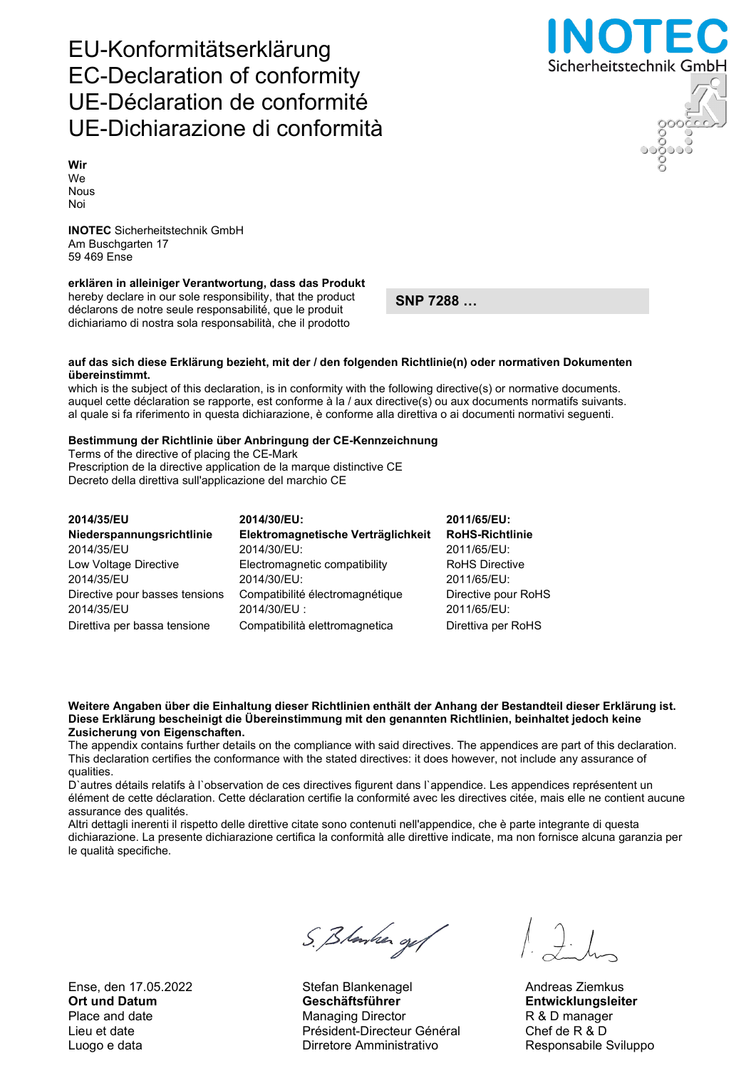Ense, den 17.05.2022 Stefan Blankenagel Andreas Ziemkus

# S. Blanker og f

Ort und Datum Geschäftsführer Entwicklungsleiter Place and date **Managing Director** R & D manager Lieu et date Président-Directeur Général Chef de R & D Luogo e data **Nicolas Construction Construction Construction** Responsabile Sviluppo

## EU-Konformitätserklärung EC-Declaration of conformity UE-Déclaration de conformité UE-Dichiarazione di conformità

Wir We Nous Noi

INOTEC Sicherheitstechnik GmbH Am Buschgarten 17 59 469 Ense

### erklären in alleiniger Verantwortung, dass das Produkt

hereby declare in our sole responsibility, that the product déclarons de notre seule responsabilité, que le produit dichiariamo di nostra sola responsabilità, che il prodotto

SNP 7288 …

#### auf das sich diese Erklärung bezieht, mit der / den folgenden Richtlinie(n) oder normativen Dokumenten übereinstimmt.

which is the subject of this declaration, is in conformity with the following directive(s) or normative documents. auquel cette déclaration se rapporte, est conforme à la / aux directive(s) ou aux documents normatifs suivants. al quale si fa riferimento in questa dichiarazione, è conforme alla direttiva o ai documenti normativi seguenti.

#### Bestimmung der Richtlinie über Anbringung der CE-Kennzeichnung

Terms of the directive of placing the CE-Mark Prescription de la directive application de la marque distinctive CE Decreto della direttiva sull'applicazione del marchio CE

| 2014/35/EU                     | 2014/30/EU:                        | 2011/65/EU:            |
|--------------------------------|------------------------------------|------------------------|
| Niederspannungsrichtlinie      | Elektromagnetische Verträglichkeit | <b>RoHS-Richtlinie</b> |
| 2014/35/EU                     | 2014/30/EU:                        | 2011/65/EU:            |
| Low Voltage Directive          | Electromagnetic compatibility      | <b>RoHS Directive</b>  |
| 2014/35/EU                     | 2014/30/EU:                        | 2011/65/EU:            |
| Directive pour basses tensions | Compatibilité électromagnétique    | Directive pour RoHS    |
| 2014/35/EU                     | 2014/30/EU:                        | 2011/65/EU:            |
| Direttiva per bassa tensione   | Compatibilità elettromagnetica     | Direttiva per RoHS     |

#### Weitere Angaben über die Einhaltung dieser Richtlinien enthält der Anhang der Bestandteil dieser Erklärung ist. Diese Erklärung bescheinigt die Übereinstimmung mit den genannten Richtlinien, beinhaltet jedoch keine Zusicherung von Eigenschaften.

The appendix contains further details on the compliance with said directives. The appendices are part of this declaration. This declaration certifies the conformance with the stated directives: it does however, not include any assurance of qualities.

D`autres détails relatifs à l`observation de ces directives figurent dans l`appendice. Les appendices représentent un élément de cette déclaration. Cette déclaration certifie la conformité avec les directives citée, mais elle ne contient aucune assurance des qualités.

Altri dettagli inerenti il rispetto delle direttive citate sono contenuti nell'appendice, che è parte integrante di questa dichiarazione. La presente dichiarazione certifica la conformità alle direttive indicate, ma non fornisce alcuna garanzia per le qualità specifiche.